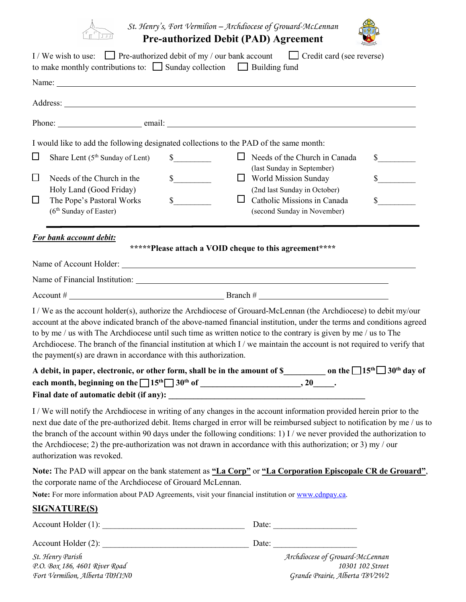

*St. Henry's, Fort Vermilion – Archdiocese of Grouard-McLennan*



|        | I/We wish to use: $\Box$ Pre-authorized debit of my / our bank account<br>to make monthly contributions to: $\Box$ Sunday collection $\Box$ Building fund | Credit card (see reverse)                                                                                                                                                                                                                                                                                                                                                                                                                                                                   |  |
|--------|-----------------------------------------------------------------------------------------------------------------------------------------------------------|---------------------------------------------------------------------------------------------------------------------------------------------------------------------------------------------------------------------------------------------------------------------------------------------------------------------------------------------------------------------------------------------------------------------------------------------------------------------------------------------|--|
|        |                                                                                                                                                           |                                                                                                                                                                                                                                                                                                                                                                                                                                                                                             |  |
|        |                                                                                                                                                           |                                                                                                                                                                                                                                                                                                                                                                                                                                                                                             |  |
|        |                                                                                                                                                           |                                                                                                                                                                                                                                                                                                                                                                                                                                                                                             |  |
|        |                                                                                                                                                           | I would like to add the following designated collections to the PAD of the same month:                                                                                                                                                                                                                                                                                                                                                                                                      |  |
| $\Box$ | Share Lent (5 <sup>th</sup> Sunday of Lent)                                                                                                               | $\sim$<br>$\Box$ Needs of the Church in Canada<br>$\frac{\text{S}}{\text{S}}$<br>(last Sunday in September)                                                                                                                                                                                                                                                                                                                                                                                 |  |
| $\Box$ | Needs of the Church in the<br>Holy Land (Good Friday)                                                                                                     | $\mathbb{S}$<br>$\frac{\text{S}}{\text{S}}$<br>$\Box$ World Mission Sunday<br>(2nd last Sunday in October)                                                                                                                                                                                                                                                                                                                                                                                  |  |
| □      | The Pope's Pastoral Works<br>(6 <sup>th</sup> Sunday of Easter)                                                                                           | s<br>$\mathbb S$<br>$\Box$<br>Catholic Missions in Canada<br>(second Sunday in November)                                                                                                                                                                                                                                                                                                                                                                                                    |  |
|        | For bank account debit:                                                                                                                                   |                                                                                                                                                                                                                                                                                                                                                                                                                                                                                             |  |
|        |                                                                                                                                                           | *****Please attach a VOID cheque to this agreement****                                                                                                                                                                                                                                                                                                                                                                                                                                      |  |
|        |                                                                                                                                                           |                                                                                                                                                                                                                                                                                                                                                                                                                                                                                             |  |
|        |                                                                                                                                                           |                                                                                                                                                                                                                                                                                                                                                                                                                                                                                             |  |
|        | the payment(s) are drawn in accordance with this authorization.                                                                                           | I / We as the account holder(s), authorize the Archdiocese of Grouard-McLennan (the Archdiocese) to debit my/our<br>account at the above indicated branch of the above-named financial institution, under the terms and conditions agreed<br>to by me / us with The Archdiocese until such time as written notice to the contrary is given by me / us to The<br>Archdiocese. The branch of the financial institution at which I / we maintain the account is not required to verify that    |  |
|        |                                                                                                                                                           | A debit, in paper, electronic, or other form, shall be in the amount of $\frac{1}{2}$ on the $\frac{1}{5}$ 15 <sup>th</sup> $\frac{1}{3}$ 30 <sup>th</sup> day of                                                                                                                                                                                                                                                                                                                           |  |
|        |                                                                                                                                                           |                                                                                                                                                                                                                                                                                                                                                                                                                                                                                             |  |
|        | Final date of automatic debit (if any):                                                                                                                   |                                                                                                                                                                                                                                                                                                                                                                                                                                                                                             |  |
|        | authorization was revoked.                                                                                                                                | I/We will notify the Archdiocese in writing of any changes in the account information provided herein prior to the<br>next due date of the pre-authorized debit. Items charged in error will be reimbursed subject to notification by me / us to<br>the branch of the account within 90 days under the following conditions: 1) I / we never provided the authorization to<br>the Archdiocese; 2) the pre-authorization was not drawn in accordance with this authorization; or 3) my / our |  |
|        | the corporate name of the Archdiocese of Grouard McLennan.                                                                                                | Note: The PAD will appear on the bank statement as "La Corp" or "La Corporation Episcopale CR de Grouard",<br>Note: For more information about PAD Agreements, visit your financial institution or www.cdnpay.ca.                                                                                                                                                                                                                                                                           |  |
|        | <b>SIGNATURE(S)</b>                                                                                                                                       |                                                                                                                                                                                                                                                                                                                                                                                                                                                                                             |  |
|        |                                                                                                                                                           |                                                                                                                                                                                                                                                                                                                                                                                                                                                                                             |  |
|        |                                                                                                                                                           |                                                                                                                                                                                                                                                                                                                                                                                                                                                                                             |  |
|        | St. Henry Parish                                                                                                                                          | Archdiocese of Grouard-McLennan                                                                                                                                                                                                                                                                                                                                                                                                                                                             |  |

*Fort Vermilion, Alberta T0H1N0 Grande Prairie, Alberta T8V2W2*

*P.O. Box 186, 4601 River Road 10301 102 Street*